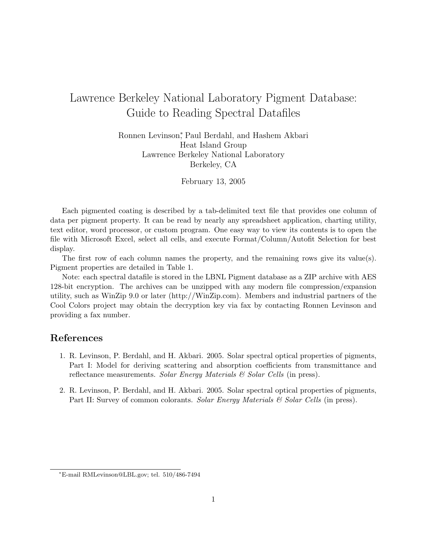## Lawrence Berkeley National Laboratory Pigment Database: Guide to Reading Spectral Datafiles

Ronnen Levinson<sup>∗</sup> , Paul Berdahl, and Hashem Akbari Heat Island Group Lawrence Berkeley National Laboratory Berkeley, CA

February 13, 2005

Each pigmented coating is described by a tab-delimited text file that provides one column of data per pigment property. It can be read by nearly any spreadsheet application, charting utility, text editor, word processor, or custom program. One easy way to view its contents is to open the file with Microsoft Excel, select all cells, and execute Format/Column/Autofit Selection for best display.

The first row of each column names the property, and the remaining rows give its value(s). Pigment properties are detailed in Table 1.

Note: each spectral datafile is stored in the LBNL Pigment database as a ZIP archive with AES 128-bit encryption. The archives can be unzipped with any modern file compression/expansion utility, such as WinZip 9.0 or later (http://WinZip.com). Members and industrial partners of the Cool Colors project may obtain the decryption key via fax by contacting Ronnen Levinson and providing a fax number.

## References

- 1. R. Levinson, P. Berdahl, and H. Akbari. 2005. Solar spectral optical properties of pigments, Part I: Model for deriving scattering and absorption coefficients from transmittance and reflectance measurements. Solar Energy Materials  $\mathcal C$  Solar Cells (in press).
- 2. R. Levinson, P. Berdahl, and H. Akbari. 2005. Solar spectral optical properties of pigments, Part II: Survey of common colorants. Solar Energy Materials & Solar Cells (in press).

<sup>∗</sup>E-mail RMLevinson@LBL.gov; tel. 510/486-7494